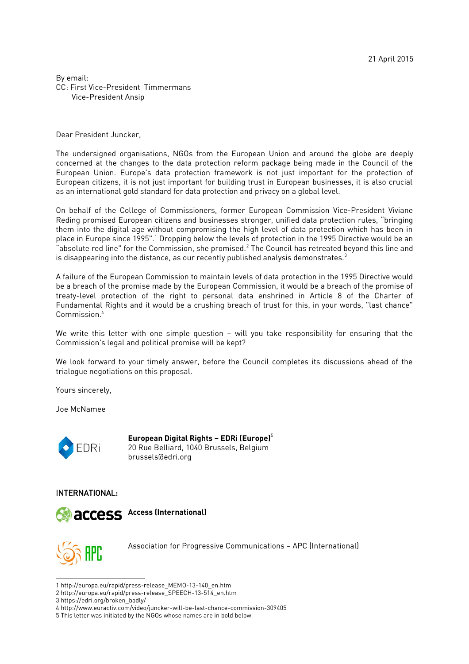By email: CC: First Vice-President Timmermans Vice-President Ansip

Dear President Juncker,

The undersigned organisations, NGOs from the European Union and around the globe are deeply concerned at the changes to the data protection reform package being made in the Council of the European Union. Europe's data protection framework is not just important for the protection of European citizens, it is not just important for building trust in European businesses, it is also crucial as an international gold standard for data protection and privacy on a global level.

On behalf of the College of Commissioners, former European Commission Vice-President Viviane Reding promised European citizens and businesses stronger, unified data protection rules, "bringing them into the digital age without compromising the high level of data protection which has been in place in Europe since [1](#page-0-0)995".<sup>1</sup> Dropping below the levels of protection in the 1995 Directive would be an "absolute red line" for the Commission, she promised. $^2$  $^2$  The Council has retreated beyond this line and is disappearing into the distance, as our recently published analysis demonstrates.<sup>[3](#page-0-2)</sup>

A failure of the European Commission to maintain levels of data protection in the 1995 Directive would be a breach of the promise made by the European Commission, it would be a breach of the promise of treaty-level protection of the right to personal data enshrined in Article 8 of the Charter of Fundamental Rights and it would be a crushing breach of trust for this, in your words, "last chance" Commission.[4](#page-0-3)

We write this letter with one simple question – will you take responsibility for ensuring that the Commission's legal and political promise will be kept?

We look forward to your timely answer, before the Council completes its discussions ahead of the trialogue negotiations on this proposal.

Yours sincerely,

Joe McNamee



**European Digital Rights – EDRi (Europe)**[5](#page-0-4) [2](https://edri.org/)0 Rue Belliard, 1040 Brussels, Belgium brussels@edri.org

INTERNATIONAL:



**[A](https://www.accessnow.org/)ccess (International)**



[A](https://www.apc.org/)ssociation for Progressive Communications – APC (International)

<span id="page-0-0"></span><sup>1</sup> http://europa.eu/rapid/press-release\_MEMO-13-140\_en.htm

<span id="page-0-1"></span><sup>2</sup> http://europa.eu/rapid/press-release\_SPEECH-13-514\_en.htm

<span id="page-0-2"></span><sup>3</sup> https://edri.org/broken\_badly/

<span id="page-0-3"></span><sup>4</sup> http://www.euractiv.com/video/juncker-will-be-last-chance-commission-309405

<span id="page-0-4"></span><sup>5</sup> This letter was initiated by the NGOs whose names are in bold below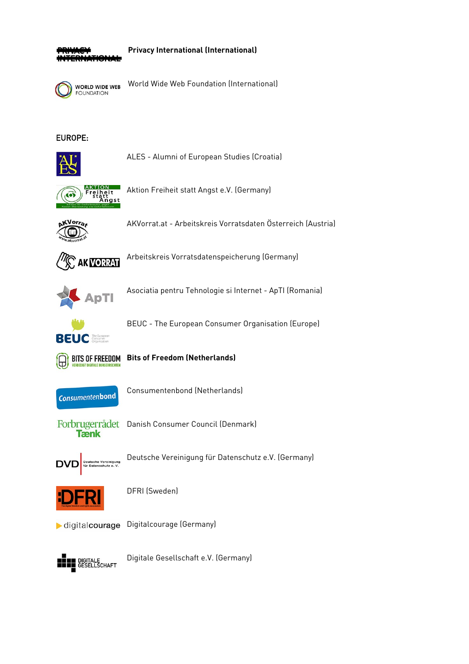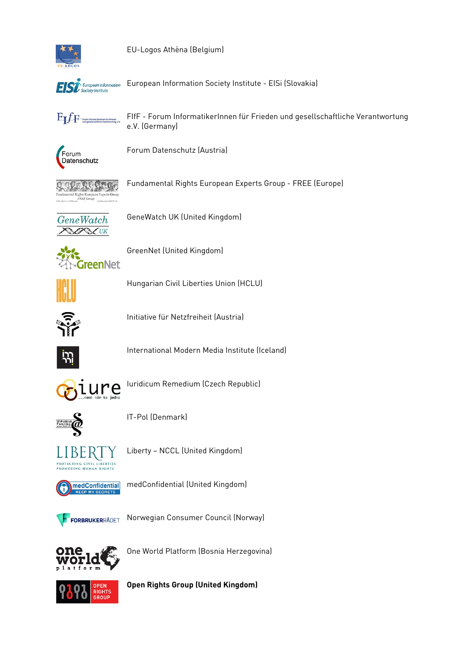

EU-Logos Athèna (Belgium)



European Information Society Institute - EISi (Slovakia)



FIfF - Forum InformatikerInnen für Frieden und gesellschaftliche Verantwortung<br>e.V. (Germany)



Forum Datenschutz (Austria)

DA,

Fundamental Rights European Experts Group - FREE (Europe)



GeneWatch UK (United Kingdom)



GreenNet (United Kingdom)



Hungarian Civil Liberties Union (HCLU)



Initiative für Netzfreiheit (Austria)



International Modern Media Institute (Iceland)



luridicum Remedium (Czech Republic)



IT-Pol (Denmark)



Liberty - NCCL (United Kingdom)



medConfidential (United Kingdom)



Norwegian Consumer Council (Norway)



One World Platform (Bosnia Herzegovina)



**Open Rights Group (United Kingdom)**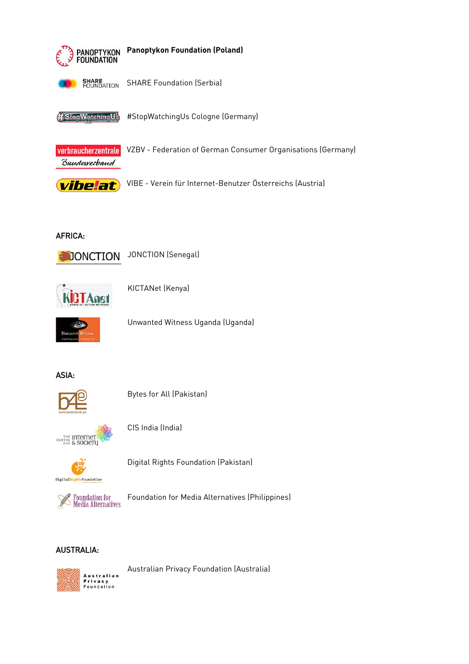

# **AFRICA:**



**JONCTION** (Senegal)



KICTANet (Kenya)



Unwanted Witness Uganda (Uganda)

# ASIA:



**Bytes for All (Pakistan)** 



CIS India (India)



Digital Rights Foundation (Pakistan)



Foundation for Media Alternatives (Philippines)

# **AUSTRALIA:**



Australian Privacy Foundation (Australia)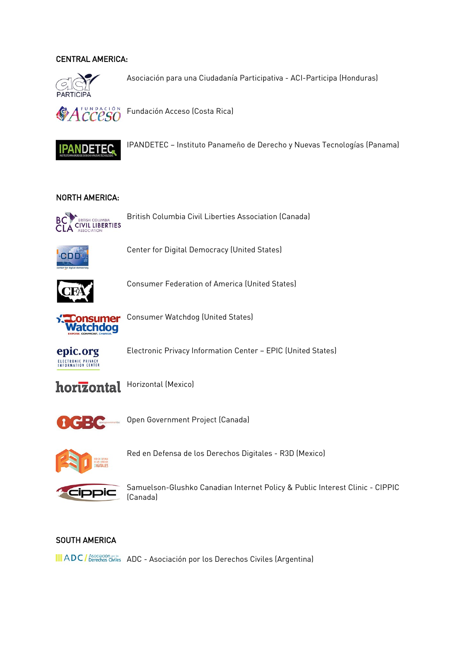### CENTRAL AMERICA:



[A](https://www.aci-participa.org/)sociación para una Ciudadanía Participativa - ACI-Participa (Honduras)



[F](http://www.acceso.or.cr/)undación Acceso (Costa Rica)



[I](https://twitter.com/ipandetec)PANDETEC – Instituto Panameño de Derecho y Nuevas Tecnologías (Panama)

#### NORTH AMERICA:



[B](https://bccla.org/)ritish Columbia Civil Liberties Association (Canada)



[C](http://www.democraticmedia.org/)enter for Digital Democracy (United States)



[C](http://www.consumerfed.org/)onsumer Federation of America (United States)



[C](http://www.consumerwatchdog.org/)onsumer Watchdog (United States)



[E](https://epic.org/)lectronic Privacy Information Center – EPIC (United States)





[O](http://opengovernmentbc.ca/)pen Government Project (Canada)



[R](http://r3dmx.tumblr.com/)ed en Defensa de los Derechos Digitales - R3D (Mexico)



[S](https://cippic.ca/)amuelson-Glushko Canadian Internet Policy & Public Interest Clinic - CIPPIC (Canada)

### SOUTH AMERICA

III [A](http://www.adc.org.ar/)DC / Asociación es ADC - Asociación por los Derechos Civiles (Argentina)